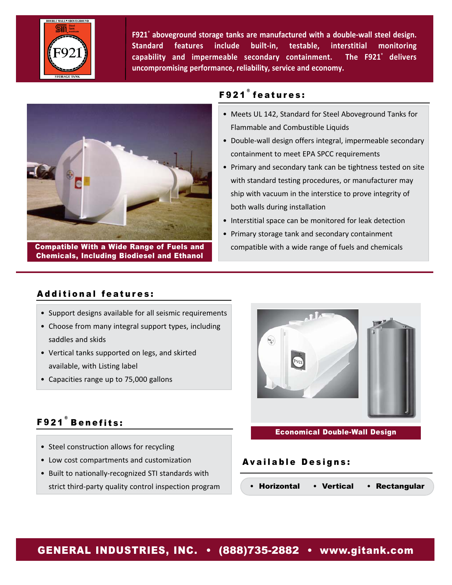

**F921® aboveground storage tanks are manufactured with a double‐wall steel design. Standard features include built‐in, testable, interstitial monitoring capability and impermeable secondary containment. The F921® delivers uncompromising performance, reliability, service and economy.**



Compatible With a Wide Range of Fuels and Chemicals, Including Biodiesel and Ethanol

# F921 ® features:

- Meets UL 142, Standard for Steel Aboveground Tanks for Flammable and Combustible Liquids
- Double‐wall design offers integral, impermeable secondary containment to meet EPA SPCC requirements
- Primary and secondary tank can be tightness tested on site with standard testing procedures, or manufacturer may ship with vacuum in the interstice to prove integrity of both walls during installation
- Interstitial space can be monitored for leak detection
- Primary storage tank and secondary containment compatible with a wide range of fuels and chemicals

# Additional features:

- Support designs available for all seismic requirements
- Choose from many integral support types, including saddles and skids
- Vertical tanks supported on legs, and skirted available, with Listing label
- Capacities range up to 75,000 gallons

# F921 ® Benefits:

- Steel construction allows for recycling
- Low cost compartments and customization
- Built to nationally‐recognized STI standards with strict third‐party quality control inspection program



### Economical Double-Wall Design

## Available Designs:

• Horizontal • Vertical • Rectangular

# GENERAL INDUSTRIES, INC. • (888)735-2882 • www.gitank.com